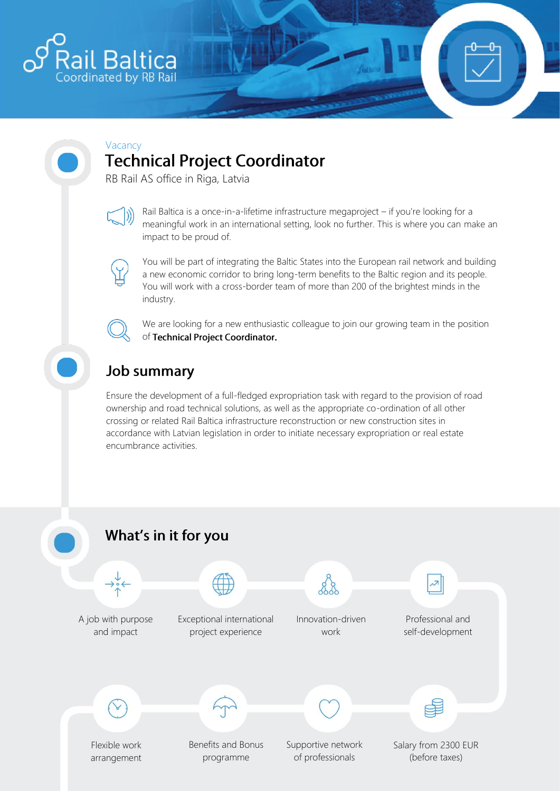

#### Vacancy **Technical Project Coordinator**

RB Rail AS office in Riga, Latvia



Rail Baltica is a once-in-a-lifetime infrastructure megaproject – if you're looking for a meaningful work in an international setting, look no further. This is where you can make an impact to be proud of.



You will be part of integrating the Baltic States into the European rail network and building a new economic corridor to bring long-term benefits to the Baltic region and its people. You will work with a cross-border team of more than 200 of the brightest minds in the industry.



We are looking for a new enthusiastic colleague to join our growing team in the position of Technical Project Coordinator.

# **Job summary**

Ensure the development of a full-fledged expropriation task with regard to the provision of road ownership and road technical solutions, as well as the appropriate co-ordination of all other crossing or related Rail Baltica infrastructure reconstruction or new construction sites in accordance with Latvian legislation in order to initiate necessary expropriation or real estate encumbrance activities.